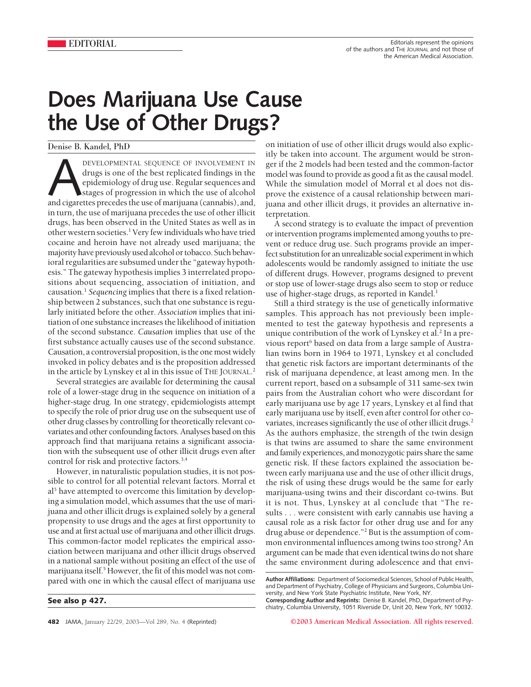## **Does Marijuana Use Cause the Use of Other Drugs?**

## Denise B. Kandel, PhD

DEVELOPMENTAL SEQUENCE OF INVOLVEMENT IN drugs is one of the best replicated findings in the epidemiology of drug use. Regular sequences and stages of progression in which the use of alcohol and cigarettes precedes the use drugs is one of the best replicated findings in the epidemiology of drug use. Regular sequences and stages of progression in which the use of alcohol and cigarettes precedes the use of marijuana (cannabis), and, in turn, the use of marijuana precedes the use of other illicit drugs, has been observed in the United States as well as in other western societies.<sup>1</sup> Very few individuals who have tried cocaine and heroin have not already used marijuana; the majority have previously used alcohol or tobacco. Such behavioral regularities are subsumed under the "gateway hypothesis." The gateway hypothesis implies 3 interrelated propositions about sequencing, association of initiation, and causation.1 *Sequencing* implies that there is a fixed relationship between 2 substances, such that one substance is regularly initiated before the other. *Association* implies that initiation of one substance increases the likelihood of initiation of the second substance. *Causation* implies that use of the first substance actually causes use of the second substance. Causation, a controversial proposition, is the one most widely invoked in policy debates and is the proposition addressed in the article by Lynskey et al in this issue of THE JOURNAL. 2

Several strategies are available for determining the causal role of a lower-stage drug in the sequence on initiation of a higher-stage drug. In one strategy, epidemiologists attempt to specify the role of prior drug use on the subsequent use of other drug classes by controlling for theoretically relevant covariates and other confounding factors. Analyses based on this approach find that marijuana retains a significant association with the subsequent use of other illicit drugs even after control for risk and protective factors.3,4

However, in naturalistic population studies, it is not possible to control for all potential relevant factors. Morral et al<sup>5</sup> have attempted to overcome this limitation by developing a simulation model, which assumes that the use of marijuana and other illicit drugs is explained solely by a general propensity to use drugs and the ages at first opportunity to use and at first actual use of marijuana and other illicit drugs. This common-factor model replicates the empirical association between marijuana and other illicit drugs observed in a national sample without positing an effect of the use of marijuana itself.<sup>5</sup> However, the fit of this model was not compared with one in which the causal effect of marijuana use

**See also p 427.**

A second strategy is to evaluate the impact of prevention or intervention programs implemented among youths to prevent or reduce drug use. Such programs provide an imperfect substitution for an unrealizable social experiment in which adolescents would be randomly assigned to initiate the use of different drugs. However, programs designed to prevent or stop use of lower-stage drugs also seem to stop or reduce use of higher-stage drugs, as reported in Kandel.<sup>1</sup>

Still a third strategy is the use of genetically informative samples. This approach has not previously been implemented to test the gateway hypothesis and represents a unique contribution of the work of Lynskey et al.<sup>2</sup> In a previous report<sup>6</sup> based on data from a large sample of Australian twins born in 1964 to 1971, Lynskey et al concluded that genetic risk factors are important determinants of the risk of marijuana dependence, at least among men. In the current report, based on a subsample of 311 same-sex twin pairs from the Australian cohort who were discordant for early marijuana use by age 17 years, Lynskey et al find that early marijuana use by itself, even after control for other covariates, increases significantly the use of other illicit drugs.<sup>2</sup> As the authors emphasize, the strength of the twin design is that twins are assumed to share the same environment and family experiences, and monozygotic pairs share the same genetic risk. If these factors explained the association between early marijuana use and the use of other illicit drugs, the risk of using these drugs would be the same for early marijuana-using twins and their discordant co-twins. But it is not. Thus, Lynskey at al conclude that "The results... were consistent with early cannabis use having a causal role as a risk factor for other drug use and for any drug abuse or dependence."2 But is the assumption of common environmental influences among twins too strong? An argument can be made that even identical twins do not share the same environment during adolescence and that envi-

**482** JAMA, January 22/29, 2003—Vol 289, No. 4 (Reprinted) **©2003 American Medical Association. All rights reserved.**

on initiation of use of other illicit drugs would also explicitly be taken into account. The argument would be stronger if the 2 models had been tested and the common-factor model was found to provide as good a fit as the causal model. While the simulation model of Morral et al does not disprove the existence of a causal relationship between marijuana and other illicit drugs, it provides an alternative interpretation.

**Author Affiliations:** Department of Sociomedical Sciences, School of Public Health, and Department of Psychiatry, College of Physicians and Surgeons, Columbia University, and New York State Psychiatric Institute, New York, NY.

**Corresponding Author and Reprints:** Denise B. Kandel, PhD, Department of Psychiatry, Columbia University, 1051 Riverside Dr, Unit 20, New York, NY 10032.